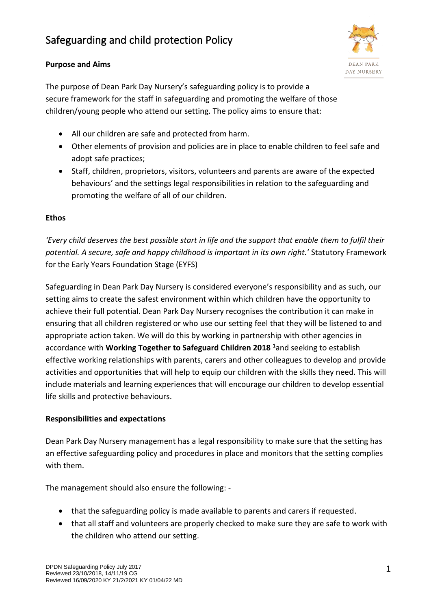# Safeguarding and child protection Policy

## **Purpose and Aims**



The purpose of Dean Park Day Nursery's safeguarding policy is to provide a secure framework for the staff in safeguarding and promoting the welfare of those children/young people who attend our setting. The policy aims to ensure that:

- All our children are safe and protected from harm.
- Other elements of provision and policies are in place to enable children to feel safe and adopt safe practices;
- Staff, children, proprietors, visitors, volunteers and parents are aware of the expected behaviours' and the settings legal responsibilities in relation to the safeguarding and promoting the welfare of all of our children.

## **Ethos**

*'Every child deserves the best possible start in life and the support that enable them to fulfil their potential. A secure, safe and happy childhood is important in its own right.'* Statutory Framework for the Early Years Foundation Stage (EYFS)

Safeguarding in Dean Park Day Nursery is considered everyone's responsibility and as such, our setting aims to create the safest environment within which children have the opportunity to achieve their full potential. Dean Park Day Nursery recognises the contribution it can make in ensuring that all children registered or who use our setting feel that they will be listened to and appropriate action taken. We will do this by working in partnership with other agencies in accordance with **Working Together to Safeguard Children 2018 <sup>1</sup>**and seeking to establish effective working relationships with parents, carers and other colleagues to develop and provide activities and opportunities that will help to equip our children with the skills they need. This will include materials and learning experiences that will encourage our children to develop essential life skills and protective behaviours.

# **Responsibilities and expectations**

Dean Park Day Nursery management has a legal responsibility to make sure that the setting has an effective safeguarding policy and procedures in place and monitors that the setting complies with them.

The management should also ensure the following: -

- that the safeguarding policy is made available to parents and carers if requested.
- that all staff and volunteers are properly checked to make sure they are safe to work with the children who attend our setting.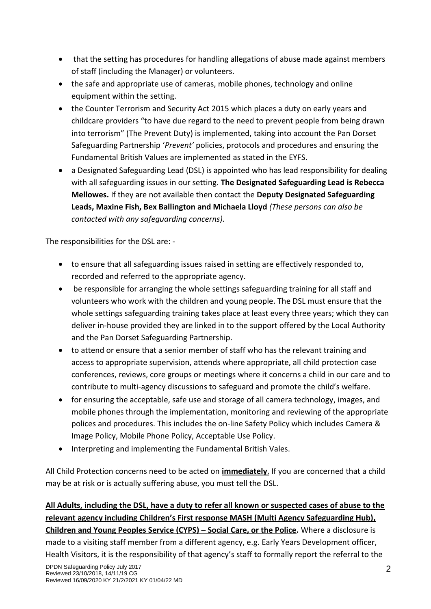- that the setting has procedures for handling allegations of abuse made against members of staff (including the Manager) or volunteers.
- the safe and appropriate use of cameras, mobile phones, technology and online equipment within the setting.
- the Counter Terrorism and Security Act 2015 which places a duty on early years and childcare providers "to have due regard to the need to prevent people from being drawn into terrorism" (The Prevent Duty) is implemented, taking into account the Pan Dorset Safeguarding Partnership '*Prevent'* policies, protocols and procedures and ensuring the Fundamental British Values are implemented as stated in the EYFS.
- a Designated Safeguarding Lead (DSL) is appointed who has lead responsibility for dealing with all safeguarding issues in our setting. **The Designated Safeguarding Lead is Rebecca Mellowes.** If they are not available then contact the **Deputy Designated Safeguarding Leads, Maxine Fish, Bex Ballington and Michaela Lloyd** *(These persons can also be contacted with any safeguarding concerns).*

The responsibilities for the DSL are: -

- to ensure that all safeguarding issues raised in setting are effectively responded to, recorded and referred to the appropriate agency.
- be responsible for arranging the whole settings safeguarding training for all staff and volunteers who work with the children and young people. The DSL must ensure that the whole settings safeguarding training takes place at least every three years; which they can deliver in-house provided they are linked in to the support offered by the Local Authority and the Pan Dorset Safeguarding Partnership.
- to attend or ensure that a senior member of staff who has the relevant training and access to appropriate supervision, attends where appropriate, all child protection case conferences, reviews, core groups or meetings where it concerns a child in our care and to contribute to multi-agency discussions to safeguard and promote the child's welfare.
- for ensuring the acceptable, safe use and storage of all camera technology, images, and mobile phones through the implementation, monitoring and reviewing of the appropriate polices and procedures. This includes the on-line Safety Policy which includes Camera & Image Policy, Mobile Phone Policy, Acceptable Use Policy.
- Interpreting and implementing the Fundamental British Vales.

All Child Protection concerns need to be acted on **immediately**. If you are concerned that a child may be at risk or is actually suffering abuse, you must tell the DSL.

# **All Adults, including the DSL, have a duty to refer all known or suspected cases of abuse to the relevant agency including Children's First response MASH (Multi Agency Safeguarding Hub), Children and Young Peoples Service (CYPS) – Social Care, or the Police.** Where a disclosure is

made to a visiting staff member from a different agency, e.g. Early Years Development officer, Health Visitors, it is the responsibility of that agency's staff to formally report the referral to the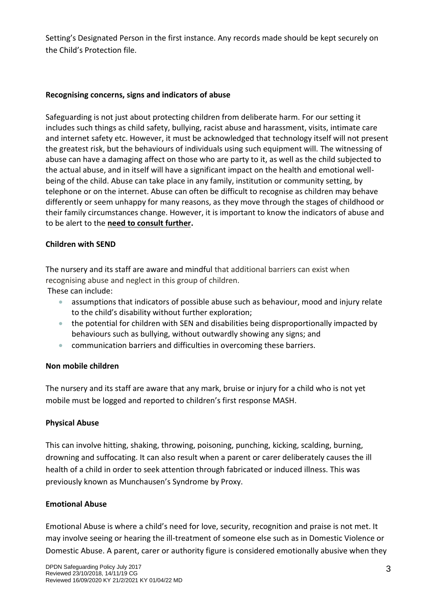Setting's Designated Person in the first instance. Any records made should be kept securely on the Child's Protection file.

#### **Recognising concerns, signs and indicators of abuse**

Safeguarding is not just about protecting children from deliberate harm. For our setting it includes such things as child safety, bullying, racist abuse and harassment, visits, intimate care and internet safety etc. However, it must be acknowledged that technology itself will not present the greatest risk, but the behaviours of individuals using such equipment will. The witnessing of abuse can have a damaging affect on those who are party to it, as well as the child subjected to the actual abuse, and in itself will have a significant impact on the health and emotional wellbeing of the child. Abuse can take place in any family, institution or community setting, by telephone or on the internet. Abuse can often be difficult to recognise as children may behave differently or seem unhappy for many reasons, as they move through the stages of childhood or their family circumstances change. However, it is important to know the indicators of abuse and to be alert to the **need to consult further.**

#### **Children with SEND**

The nursery and its staff are aware and mindful that additional barriers can exist when recognising abuse and neglect in this group of children.

These can include:

- assumptions that indicators of possible abuse such as behaviour, mood and injury relate to the child's disability without further exploration;
- the potential for children with SEN and disabilities being disproportionally impacted by behaviours such as bullying, without outwardly showing any signs; and
- communication barriers and difficulties in overcoming these barriers.

#### **Non mobile children**

The nursery and its staff are aware that any mark, bruise or injury for a child who is not yet mobile must be logged and reported to children's first response MASH.

#### **Physical Abuse**

This can involve hitting, shaking, throwing, poisoning, punching, kicking, scalding, burning, drowning and suffocating. It can also result when a parent or carer deliberately causes the ill health of a child in order to seek attention through fabricated or induced illness. This was previously known as Munchausen's Syndrome by Proxy.

#### **Emotional Abuse**

Emotional Abuse is where a child's need for love, security, recognition and praise is not met. It may involve seeing or hearing the ill-treatment of someone else such as in Domestic Violence or Domestic Abuse. A parent, carer or authority figure is considered emotionally abusive when they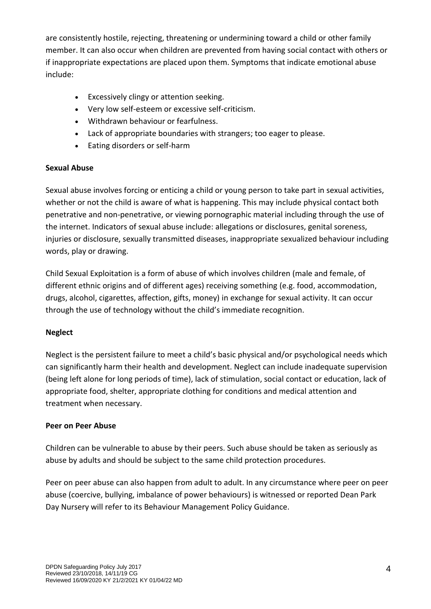are consistently hostile, rejecting, threatening or undermining toward a child or other family member. It can also occur when children are prevented from having social contact with others or if inappropriate expectations are placed upon them. Symptoms that indicate emotional abuse include:

- Excessively clingy or attention seeking.
- Very low self-esteem or excessive self-criticism.
- Withdrawn behaviour or fearfulness.
- Lack of appropriate boundaries with strangers; too eager to please.
- Eating disorders or self-harm

## **Sexual Abuse**

Sexual abuse involves forcing or enticing a child or young person to take part in sexual activities, whether or not the child is aware of what is happening. This may include physical contact both penetrative and non-penetrative, or viewing pornographic material including through the use of the internet. Indicators of sexual abuse include: allegations or disclosures, genital soreness, injuries or disclosure, sexually transmitted diseases, inappropriate sexualized behaviour including words, play or drawing.

Child Sexual Exploitation is a form of abuse of which involves children (male and female, of different ethnic origins and of different ages) receiving something (e.g. food, accommodation, drugs, alcohol, cigarettes, affection, gifts, money) in exchange for sexual activity. It can occur through the use of technology without the child's immediate recognition.

# **Neglect**

Neglect is the persistent failure to meet a child's basic physical and/or psychological needs which can significantly harm their health and development. Neglect can include inadequate supervision (being left alone for long periods of time), lack of stimulation, social contact or education, lack of appropriate food, shelter, appropriate clothing for conditions and medical attention and treatment when necessary.

# **Peer on Peer Abuse**

Children can be vulnerable to abuse by their peers. Such abuse should be taken as seriously as abuse by adults and should be subject to the same child protection procedures.

Peer on peer abuse can also happen from adult to adult. In any circumstance where peer on peer abuse (coercive, bullying, imbalance of power behaviours) is witnessed or reported Dean Park Day Nursery will refer to its Behaviour Management Policy Guidance.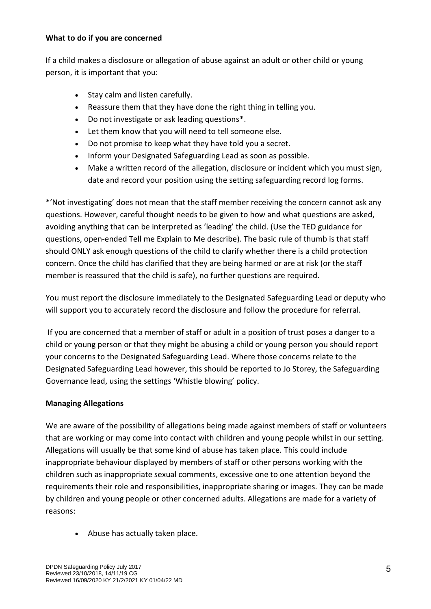#### **What to do if you are concerned**

If a child makes a disclosure or allegation of abuse against an adult or other child or young person, it is important that you:

- Stay calm and listen carefully.
- Reassure them that they have done the right thing in telling you.
- Do not investigate or ask leading questions\*.
- Let them know that you will need to tell someone else.
- Do not promise to keep what they have told you a secret.
- Inform your Designated Safeguarding Lead as soon as possible.
- Make a written record of the allegation, disclosure or incident which you must sign, date and record your position using the setting safeguarding record log forms.

\*'Not investigating' does not mean that the staff member receiving the concern cannot ask any questions. However, careful thought needs to be given to how and what questions are asked, avoiding anything that can be interpreted as 'leading' the child. (Use the TED guidance for questions, open-ended Tell me Explain to Me describe). The basic rule of thumb is that staff should ONLY ask enough questions of the child to clarify whether there is a child protection concern. Once the child has clarified that they are being harmed or are at risk (or the staff member is reassured that the child is safe), no further questions are required.

You must report the disclosure immediately to the Designated Safeguarding Lead or deputy who will support you to accurately record the disclosure and follow the procedure for referral.

If you are concerned that a member of staff or adult in a position of trust poses a danger to a child or young person or that they might be abusing a child or young person you should report your concerns to the Designated Safeguarding Lead. Where those concerns relate to the Designated Safeguarding Lead however, this should be reported to Jo Storey, the Safeguarding Governance lead, using the settings 'Whistle blowing' policy.

# **Managing Allegations**

We are aware of the possibility of allegations being made against members of staff or volunteers that are working or may come into contact with children and young people whilst in our setting. Allegations will usually be that some kind of abuse has taken place. This could include inappropriate behaviour displayed by members of staff or other persons working with the children such as inappropriate sexual comments, excessive one to one attention beyond the requirements their role and responsibilities, inappropriate sharing or images. They can be made by children and young people or other concerned adults. Allegations are made for a variety of reasons:

• Abuse has actually taken place.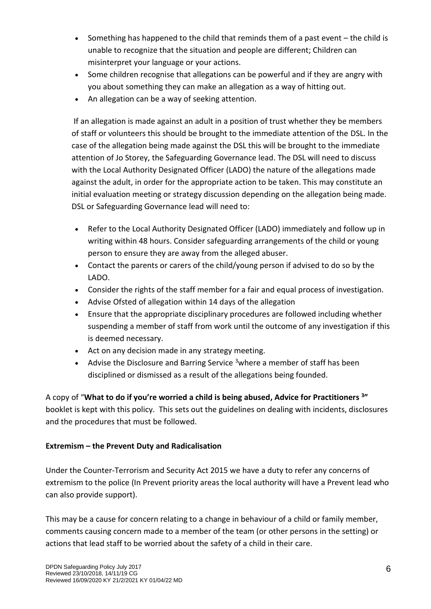- Something has happened to the child that reminds them of a past event the child is unable to recognize that the situation and people are different; Children can misinterpret your language or your actions.
- Some children recognise that allegations can be powerful and if they are angry with you about something they can make an allegation as a way of hitting out.
- An allegation can be a way of seeking attention.

If an allegation is made against an adult in a position of trust whether they be members of staff or volunteers this should be brought to the immediate attention of the DSL. In the case of the allegation being made against the DSL this will be brought to the immediate attention of Jo Storey, the Safeguarding Governance lead. The DSL will need to discuss with the Local Authority Designated Officer (LADO) the nature of the allegations made against the adult, in order for the appropriate action to be taken. This may constitute an initial evaluation meeting or strategy discussion depending on the allegation being made. DSL or Safeguarding Governance lead will need to:

- Refer to the Local Authority Designated Officer (LADO) immediately and follow up in writing within 48 hours. Consider safeguarding arrangements of the child or young person to ensure they are away from the alleged abuser.
- Contact the parents or carers of the child/young person if advised to do so by the LADO.
- Consider the rights of the staff member for a fair and equal process of investigation.
- Advise Ofsted of allegation within 14 days of the allegation
- Ensure that the appropriate disciplinary procedures are followed including whether suspending a member of staff from work until the outcome of any investigation if this is deemed necessary.
- Act on any decision made in any strategy meeting.
- Advise the Disclosure and Barring Service  $3$  where a member of staff has been disciplined or dismissed as a result of the allegations being founded.

A copy of "**What to do if you're worried a child is being abused, Advice for Practitioners <sup>3</sup> "** booklet is kept with this policy. This sets out the guidelines on dealing with incidents, disclosures and the procedures that must be followed.

# **Extremism – the Prevent Duty and Radicalisation**

Under the Counter-Terrorism and Security Act 2015 we have a duty to refer any concerns of extremism to the police (In Prevent priority areas the local authority will have a Prevent lead who can also provide support).

This may be a cause for concern relating to a change in behaviour of a child or family member, comments causing concern made to a member of the team (or other persons in the setting) or actions that lead staff to be worried about the safety of a child in their care.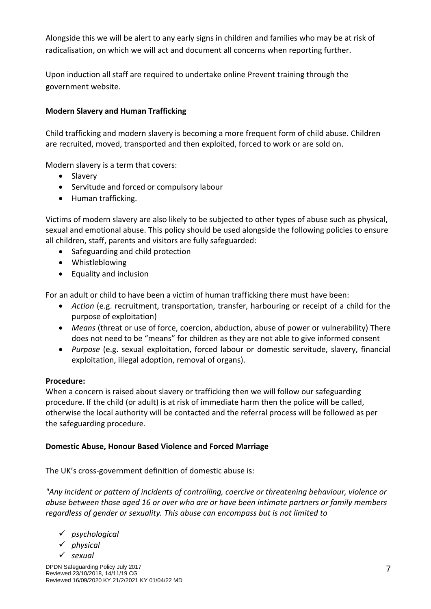Alongside this we will be alert to any early signs in children and families who may be at risk of radicalisation, on which we will act and document all concerns when reporting further.

Upon induction all staff are required to undertake online Prevent training through the government website.

# **Modern Slavery and Human Trafficking**

Child trafficking and modern slavery is becoming a more frequent form of child abuse. Children are recruited, moved, transported and then exploited, forced to work or are sold on.

Modern slavery is a term that covers:

- Slavery
- Servitude and forced or compulsory labour
- Human trafficking.

Victims of modern slavery are also likely to be subjected to other types of abuse such as physical, sexual and emotional abuse. This policy should be used alongside the following policies to ensure all children, staff, parents and visitors are fully safeguarded:

- Safeguarding and child protection
- Whistleblowing
- Equality and inclusion

For an adult or child to have been a victim of human trafficking there must have been:

- *Action* (e.g. recruitment, transportation, transfer, harbouring or receipt of a child for the purpose of exploitation)
- *Means* (threat or use of force, coercion, abduction, abuse of power or vulnerability) There does not need to be "means" for children as they are not able to give informed consent
- *Purpose* (e.g. sexual exploitation, forced labour or domestic servitude, slavery, financial exploitation, illegal adoption, removal of organs).

## **Procedure:**

When a concern is raised about slavery or trafficking then we will follow our safeguarding procedure. If the child (or adult) is at risk of immediate harm then the police will be called, otherwise the local authority will be contacted and the referral process will be followed as per the safeguarding procedure.

## **Domestic Abuse, Honour Based Violence and Forced Marriage**

The UK's cross-government definition of domestic abuse is:

*"Any incident or pattern of incidents of controlling, coercive or threatening behaviour, violence or abuse between those aged 16 or over who are or have been intimate partners or family members regardless of gender or sexuality. This abuse can encompass but is not limited to*

- ✓ *psychological*
- ✓ *physical*
- ✓ *sexual*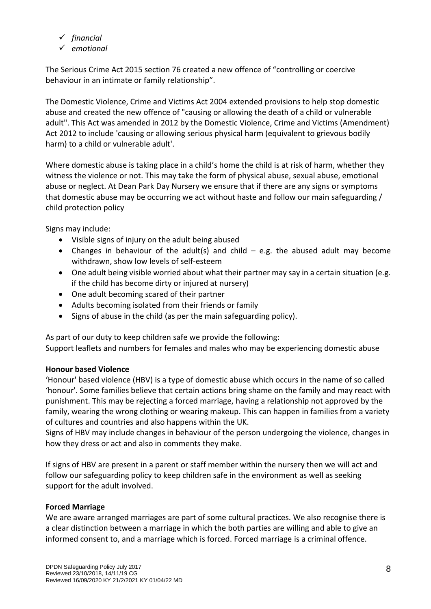- ✓ *financial*
- ✓ *emotional*

The Serious Crime Act 2015 section 76 created a new offence of "controlling or coercive behaviour in an intimate or family relationship".

The Domestic Violence, Crime and Victims Act 2004 extended provisions to help stop domestic abuse and created the new offence of "causing or allowing the death of a child or vulnerable adult". This Act was amended in 2012 by the Domestic Violence, Crime and Victims (Amendment) Act 2012 to include 'causing or allowing serious physical harm (equivalent to grievous bodily harm) to a child or vulnerable adult'.

Where domestic abuse is taking place in a child's home the child is at risk of harm, whether they witness the violence or not. This may take the form of physical abuse, sexual abuse, emotional abuse or neglect. At Dean Park Day Nursery we ensure that if there are any signs or symptoms that domestic abuse may be occurring we act without haste and follow our main safeguarding / child protection policy

Signs may include:

- Visible signs of injury on the adult being abused
- Changes in behaviour of the adult(s) and child  $-$  e.g. the abused adult may become withdrawn, show low levels of self-esteem
- One adult being visible worried about what their partner may say in a certain situation (e.g. if the child has become dirty or injured at nursery)
- One adult becoming scared of their partner
- Adults becoming isolated from their friends or family
- Signs of abuse in the child (as per the main safeguarding policy).

As part of our duty to keep children safe we provide the following: Support leaflets and numbers for females and males who may be experiencing domestic abuse

# **Honour based Violence**

'Honour' based violence (HBV) is a type of domestic abuse which occurs in the name of so called 'honour'. Some families believe that certain actions bring shame on the family and may react with punishment. This may be rejecting a forced marriage, having a relationship not approved by the family, wearing the wrong clothing or wearing makeup. This can happen in families from a variety of cultures and countries and also happens within the UK.

Signs of HBV may include changes in behaviour of the person undergoing the violence, changes in how they dress or act and also in comments they make.

If signs of HBV are present in a parent or staff member within the nursery then we will act and follow our safeguarding policy to keep children safe in the environment as well as seeking support for the adult involved.

# **Forced Marriage**

We are aware arranged marriages are part of some cultural practices. We also recognise there is a clear distinction between a marriage in which the both parties are willing and able to give an informed consent to, and a marriage which is forced. Forced marriage is a criminal offence.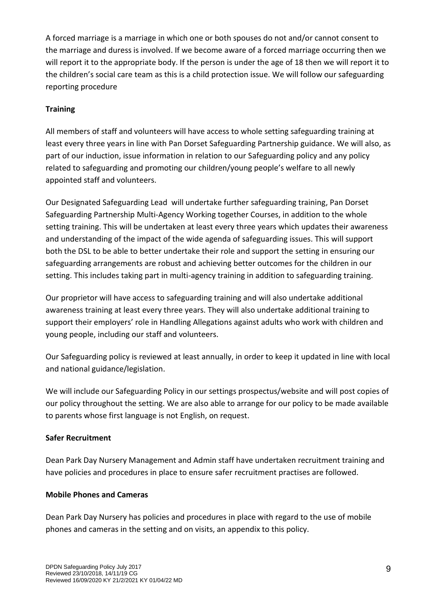A forced marriage is a marriage in which one or both spouses do not and/or cannot consent to the marriage and duress is involved. If we become aware of a forced marriage occurring then we will report it to the appropriate body. If the person is under the age of 18 then we will report it to the children's social care team as this is a child protection issue. We will follow our safeguarding reporting procedure

# **Training**

All members of staff and volunteers will have access to whole setting safeguarding training at least every three years in line with Pan Dorset Safeguarding Partnership guidance. We will also, as part of our induction, issue information in relation to our Safeguarding policy and any policy related to safeguarding and promoting our children/young people's welfare to all newly appointed staff and volunteers.

Our Designated Safeguarding Lead will undertake further safeguarding training, Pan Dorset Safeguarding Partnership Multi-Agency Working together Courses, in addition to the whole setting training. This will be undertaken at least every three years which updates their awareness and understanding of the impact of the wide agenda of safeguarding issues. This will support both the DSL to be able to better undertake their role and support the setting in ensuring our safeguarding arrangements are robust and achieving better outcomes for the children in our setting. This includes taking part in multi-agency training in addition to safeguarding training.

Our proprietor will have access to safeguarding training and will also undertake additional awareness training at least every three years. They will also undertake additional training to support their employers' role in Handling Allegations against adults who work with children and young people, including our staff and volunteers.

Our Safeguarding policy is reviewed at least annually, in order to keep it updated in line with local and national guidance/legislation.

We will include our Safeguarding Policy in our settings prospectus/website and will post copies of our policy throughout the setting. We are also able to arrange for our policy to be made available to parents whose first language is not English, on request.

# **Safer Recruitment**

Dean Park Day Nursery Management and Admin staff have undertaken recruitment training and have policies and procedures in place to ensure safer recruitment practises are followed.

# **Mobile Phones and Cameras**

Dean Park Day Nursery has policies and procedures in place with regard to the use of mobile phones and cameras in the setting and on visits, an appendix to this policy.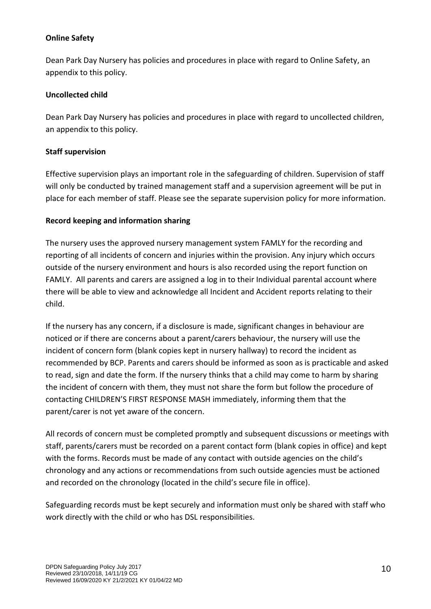## **Online Safety**

Dean Park Day Nursery has policies and procedures in place with regard to Online Safety, an appendix to this policy.

#### **Uncollected child**

Dean Park Day Nursery has policies and procedures in place with regard to uncollected children, an appendix to this policy.

## **Staff supervision**

Effective supervision plays an important role in the safeguarding of children. Supervision of staff will only be conducted by trained management staff and a supervision agreement will be put in place for each member of staff. Please see the separate supervision policy for more information.

#### **Record keeping and information sharing**

The nursery uses the approved nursery management system FAMLY for the recording and reporting of all incidents of concern and injuries within the provision. Any injury which occurs outside of the nursery environment and hours is also recorded using the report function on FAMLY. All parents and carers are assigned a log in to their Individual parental account where there will be able to view and acknowledge all Incident and Accident reports relating to their child.

If the nursery has any concern, if a disclosure is made, significant changes in behaviour are noticed or if there are concerns about a parent/carers behaviour, the nursery will use the incident of concern form (blank copies kept in nursery hallway) to record the incident as recommended by BCP. Parents and carers should be informed as soon as is practicable and asked to read, sign and date the form. If the nursery thinks that a child may come to harm by sharing the incident of concern with them, they must not share the form but follow the procedure of contacting CHILDREN'S FIRST RESPONSE MASH immediately, informing them that the parent/carer is not yet aware of the concern.

All records of concern must be completed promptly and subsequent discussions or meetings with staff, parents/carers must be recorded on a parent contact form (blank copies in office) and kept with the forms. Records must be made of any contact with outside agencies on the child's chronology and any actions or recommendations from such outside agencies must be actioned and recorded on the chronology (located in the child's secure file in office).

Safeguarding records must be kept securely and information must only be shared with staff who work directly with the child or who has DSL responsibilities.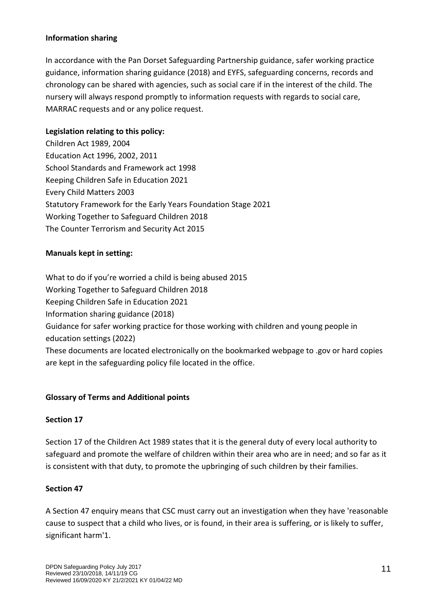#### **Information sharing**

In accordance with the Pan Dorset Safeguarding Partnership guidance, safer working practice guidance, information sharing guidance (2018) and EYFS, safeguarding concerns, records and chronology can be shared with agencies, such as social care if in the interest of the child. The nursery will always respond promptly to information requests with regards to social care, MARRAC requests and or any police request.

## **Legislation relating to this policy:**

Children Act 1989, 2004 Education Act 1996, 2002, 2011 School Standards and Framework act 1998 Keeping Children Safe in Education 2021 Every Child Matters 2003 Statutory Framework for the Early Years Foundation Stage 2021 Working Together to Safeguard Children 2018 The Counter Terrorism and Security Act 2015

## **Manuals kept in setting:**

What to do if you're worried a child is being abused 2015 Working Together to Safeguard Children 2018 Keeping Children Safe in Education 2021 Information sharing guidance (2018) Guidance for safer working practice for those working with children and young people in education settings (2022) These documents are located electronically on the bookmarked webpage to .gov or hard copies are kept in the safeguarding policy file located in the office.

## **Glossary of Terms and Additional points**

## **Section 17**

Section 17 of the Children Act 1989 states that it is the general duty of every local authority to safeguard and promote the welfare of children within their area who are in need; and so far as it is consistent with that duty, to promote the upbringing of such children by their families.

## **Section 47**

A Section 47 enquiry means that CSC must carry out an investigation when they have 'reasonable cause to suspect that a child who lives, or is found, in their area is suffering, or is likely to suffer, significant harm'1.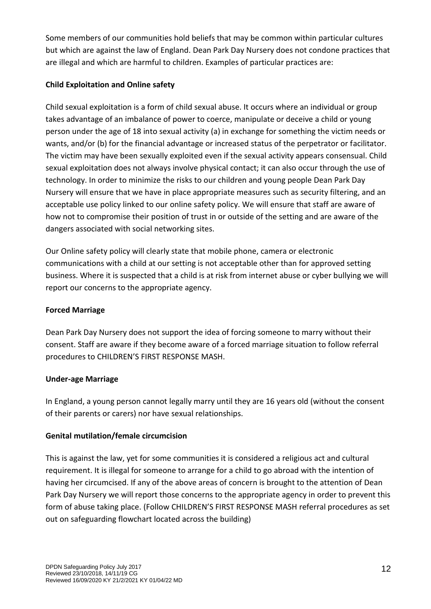Some members of our communities hold beliefs that may be common within particular cultures but which are against the law of England. Dean Park Day Nursery does not condone practices that are illegal and which are harmful to children. Examples of particular practices are:

## **Child Exploitation and Online safety**

Child sexual exploitation is a form of child sexual abuse. It occurs where an individual or group takes advantage of an imbalance of power to coerce, manipulate or deceive a child or young person under the age of 18 into sexual activity (a) in exchange for something the victim needs or wants, and/or (b) for the financial advantage or increased status of the perpetrator or facilitator. The victim may have been sexually exploited even if the sexual activity appears consensual. Child sexual exploitation does not always involve physical contact; it can also occur through the use of technology. In order to minimize the risks to our children and young people Dean Park Day Nursery will ensure that we have in place appropriate measures such as security filtering, and an acceptable use policy linked to our online safety policy. We will ensure that staff are aware of how not to compromise their position of trust in or outside of the setting and are aware of the dangers associated with social networking sites.

Our Online safety policy will clearly state that mobile phone, camera or electronic communications with a child at our setting is not acceptable other than for approved setting business. Where it is suspected that a child is at risk from internet abuse or cyber bullying we will report our concerns to the appropriate agency.

## **Forced Marriage**

Dean Park Day Nursery does not support the idea of forcing someone to marry without their consent. Staff are aware if they become aware of a forced marriage situation to follow referral procedures to CHILDREN'S FIRST RESPONSE MASH.

## **Under-age Marriage**

In England, a young person cannot legally marry until they are 16 years old (without the consent of their parents or carers) nor have sexual relationships.

## **Genital mutilation/female circumcision**

This is against the law, yet for some communities it is considered a religious act and cultural requirement. It is illegal for someone to arrange for a child to go abroad with the intention of having her circumcised. If any of the above areas of concern is brought to the attention of Dean Park Day Nursery we will report those concerns to the appropriate agency in order to prevent this form of abuse taking place. (Follow CHILDREN'S FIRST RESPONSE MASH referral procedures as set out on safeguarding flowchart located across the building)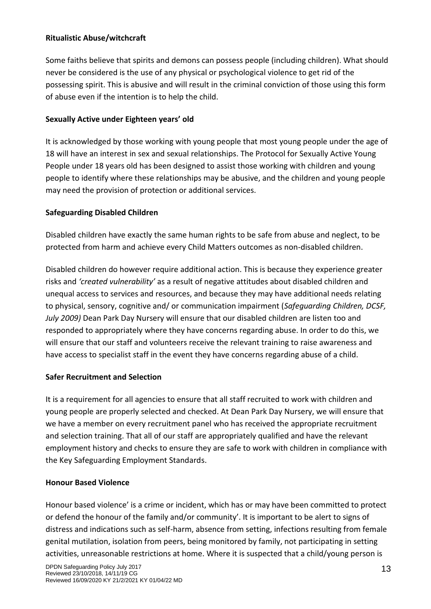## **Ritualistic Abuse/witchcraft**

Some faiths believe that spirits and demons can possess people (including children). What should never be considered is the use of any physical or psychological violence to get rid of the possessing spirit. This is abusive and will result in the criminal conviction of those using this form of abuse even if the intention is to help the child.

## **Sexually Active under Eighteen years' old**

It is acknowledged by those working with young people that most young people under the age of 18 will have an interest in sex and sexual relationships. The Protocol for Sexually Active Young People under 18 years old has been designed to assist those working with children and young people to identify where these relationships may be abusive, and the children and young people may need the provision of protection or additional services.

## **Safeguarding Disabled Children**

Disabled children have exactly the same human rights to be safe from abuse and neglect, to be protected from harm and achieve every Child Matters outcomes as non-disabled children.

Disabled children do however require additional action. This is because they experience greater risks and *'created vulnerability'* as a result of negative attitudes about disabled children and unequal access to services and resources, and because they may have additional needs relating to physical, sensory, cognitive and/ or communication impairment (*Safeguarding Children, DCSF, July 2009)* Dean Park Day Nursery will ensure that our disabled children are listen too and responded to appropriately where they have concerns regarding abuse. In order to do this, we will ensure that our staff and volunteers receive the relevant training to raise awareness and have access to specialist staff in the event they have concerns regarding abuse of a child.

## **Safer Recruitment and Selection**

It is a requirement for all agencies to ensure that all staff recruited to work with children and young people are properly selected and checked. At Dean Park Day Nursery, we will ensure that we have a member on every recruitment panel who has received the appropriate recruitment and selection training. That all of our staff are appropriately qualified and have the relevant employment history and checks to ensure they are safe to work with children in compliance with the Key Safeguarding Employment Standards.

## **Honour Based Violence**

Honour based violence' is a crime or incident, which has or may have been committed to protect or defend the honour of the family and/or community'. It is important to be alert to signs of distress and indications such as self-harm, absence from setting, infections resulting from female genital mutilation, isolation from peers, being monitored by family, not participating in setting activities, unreasonable restrictions at home. Where it is suspected that a child/young person is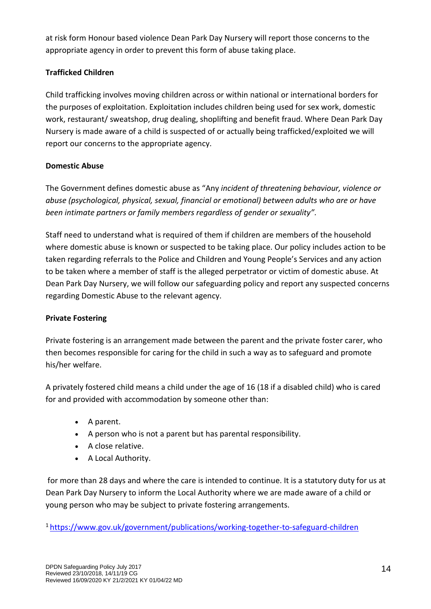at risk form Honour based violence Dean Park Day Nursery will report those concerns to the appropriate agency in order to prevent this form of abuse taking place.

# **Trafficked Children**

Child trafficking involves moving children across or within national or international borders for the purposes of exploitation. Exploitation includes children being used for sex work, domestic work, restaurant/ sweatshop, drug dealing, shoplifting and benefit fraud. Where Dean Park Day Nursery is made aware of a child is suspected of or actually being trafficked/exploited we will report our concerns to the appropriate agency.

# **Domestic Abuse**

The Government defines domestic abuse as "Any *incident of threatening behaviour, violence or abuse (psychological, physical, sexual, financial or emotional) between adults who are or have been intimate partners or family members regardless of gender or sexuality".* 

Staff need to understand what is required of them if children are members of the household where domestic abuse is known or suspected to be taking place. Our policy includes action to be taken regarding referrals to the Police and Children and Young People's Services and any action to be taken where a member of staff is the alleged perpetrator or victim of domestic abuse. At Dean Park Day Nursery, we will follow our safeguarding policy and report any suspected concerns regarding Domestic Abuse to the relevant agency.

# **Private Fostering**

Private fostering is an arrangement made between the parent and the private foster carer, who then becomes responsible for caring for the child in such a way as to safeguard and promote his/her welfare.

A privately fostered child means a child under the age of 16 (18 if a disabled child) who is cared for and provided with accommodation by someone other than:

- A parent.
- A person who is not a parent but has parental responsibility.
- A close relative.
- A Local Authority.

for more than 28 days and where the care is intended to continue. It is a statutory duty for us at Dean Park Day Nursery to inform the Local Authority where we are made aware of a child or young person who may be subject to private fostering arrangements.

1 <https://www.gov.uk/government/publications/working-together-to-safeguard-children>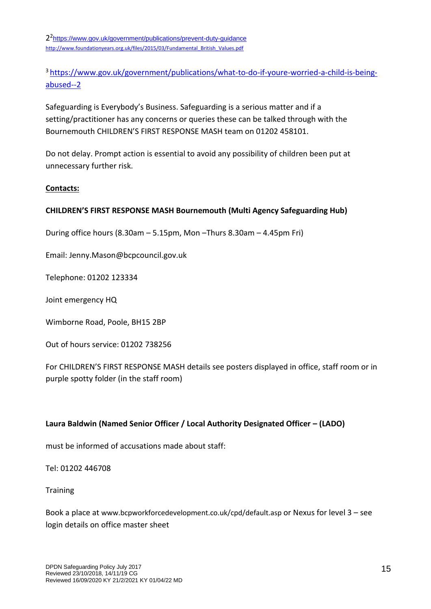2<sup>2</sup><https://www.gov.uk/government/publications/prevent-duty-guidance> [http://www.foundationyears.org.uk/files/2015/03/Fundamental\\_British\\_Values.pdf](http://www.foundationyears.org.uk/files/2015/03/Fundamental_British_Values.pdf)

3 [https://www.gov.uk/government/publications/what-to-do-if-youre-worried-a-child-is-being](https://www.gov.uk/government/publications/what-to-do-if-youre-worried-a-child-is-being-abused--2)[abused--2](https://www.gov.uk/government/publications/what-to-do-if-youre-worried-a-child-is-being-abused--2)

Safeguarding is Everybody's Business. Safeguarding is a serious matter and if a setting/practitioner has any concerns or queries these can be talked through with the Bournemouth CHILDREN'S FIRST RESPONSE MASH team on 01202 458101.

Do not delay. Prompt action is essential to avoid any possibility of children been put at unnecessary further risk.

#### **Contacts:**

## **CHILDREN'S FIRST RESPONSE MASH Bournemouth (Multi Agency Safeguarding Hub)**

During office hours (8.30am – 5.15pm, Mon –Thurs 8.30am – 4.45pm Fri)

Email: Jenny.Mason@bcpcouncil.gov.uk

Telephone: 01202 123334

Joint emergency HQ

Wimborne Road, Poole, BH15 2BP

Out of hours service: 01202 738256

For CHILDREN'S FIRST RESPONSE MASH details see posters displayed in office, staff room or in purple spotty folder (in the staff room)

#### **Laura Baldwin (Named Senior Officer / Local Authority Designated Officer – (LADO)**

must be informed of accusations made about staff:

Tel: 01202 446708

**Training** 

Book a place at www.bcpworkforcedevelopment.co.uk/cpd/default.asp or Nexus for level 3 – see login details on office master sheet